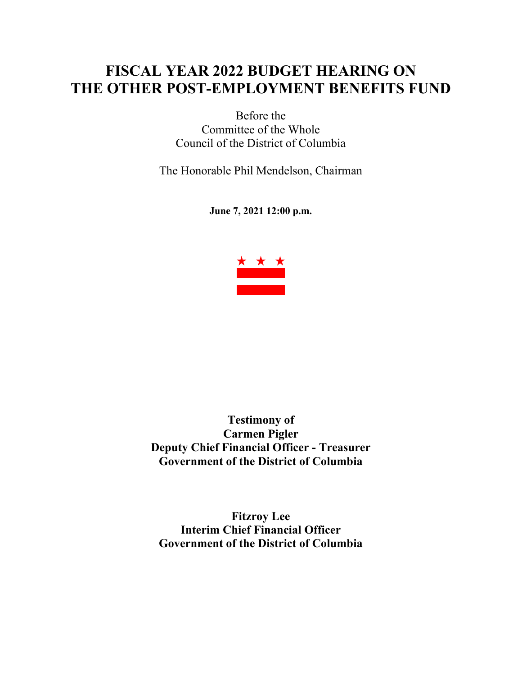# **FISCAL YEAR 2022 BUDGET HEARING ON THE OTHER POST-EMPLOYMENT BENEFITS FUND**

Before the Committee of the Whole Council of the District of Columbia

The Honorable Phil Mendelson, Chairman

**June 7, 2021 12:00 p.m.**



**Testimony of Carmen Pigler Deputy Chief Financial Officer - Treasurer Government of the District of Columbia**

**Fitzroy Lee Interim Chief Financial Officer Government of the District of Columbia**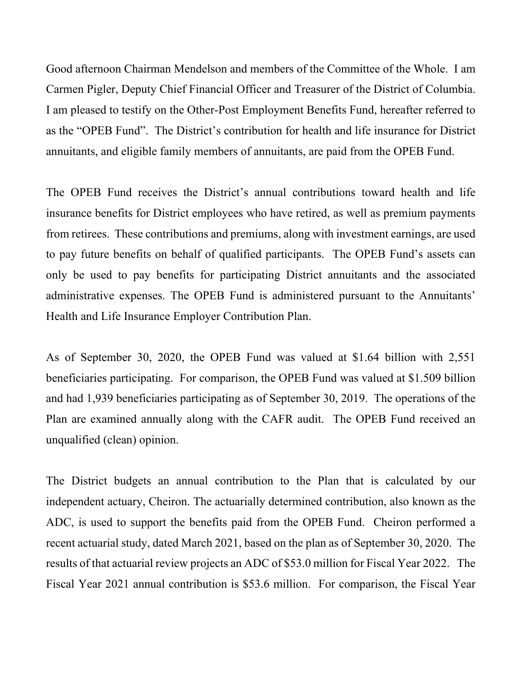Good afternoon Chairman Mendelson and members of the Committee of the Whole. I am Carmen Pigler, Deputy Chief Financial Officer and Treasurer of the District of Columbia. I am pleased to testify on the Other-Post Employment Benefits Fund, hereafter referred to as the "OPEB Fund". The District's contribution for health and life insurance for District annuitants, and eligible family members of annuitants, are paid from the OPEB Fund.

The OPEB Fund receives the District's annual contributions toward health and life insurance benefits for District employees who have retired, as well as premium payments from retirees. These contributions and premiums, along with investment earnings, are used to pay future benefits on behalf of qualified participants. The OPEB Fund's assets can only be used to pay benefits for participating District annuitants and the associated administrative expenses. The OPEB Fund is administered pursuant to the Annuitants' Health and Life Insurance Employer Contribution Plan.

As of September 30, 2020, the OPEB Fund was valued at \$1.64 billion with 2,551 beneficiaries participating. For comparison, the OPEB Fund was valued at \$1.509 billion and had 1,939 beneficiaries participating as of September 30, 2019. The operations of the Plan are examined annually along with the CAFR audit. The OPEB Fund received an unqualified (clean) opinion.

The District budgets an annual contribution to the Plan that is calculated by our independent actuary, Cheiron. The actuarially determined contribution, also known as the ADC, is used to support the benefits paid from the OPEB Fund. Cheiron performed a recent actuarial study, dated March 2021, based on the plan as of September 30, 2020. The results of that actuarial review projects an ADC of \$53.0 million for Fiscal Year 2022. The Fiscal Year 2021 annual contribution is \$53.6 million. For comparison, the Fiscal Year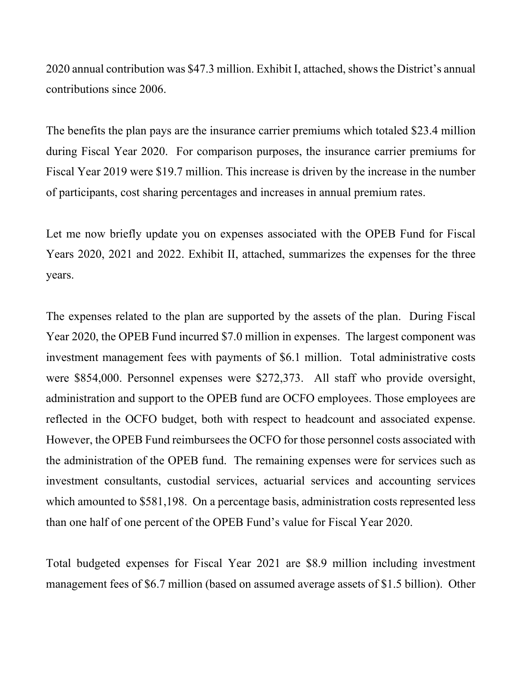2020 annual contribution was \$47.3 million. Exhibit I, attached, shows the District's annual contributions since 2006.

The benefits the plan pays are the insurance carrier premiums which totaled \$23.4 million during Fiscal Year 2020. For comparison purposes, the insurance carrier premiums for Fiscal Year 2019 were \$19.7 million. This increase is driven by the increase in the number of participants, cost sharing percentages and increases in annual premium rates.

Let me now briefly update you on expenses associated with the OPEB Fund for Fiscal Years 2020, 2021 and 2022. Exhibit II, attached, summarizes the expenses for the three years.

The expenses related to the plan are supported by the assets of the plan. During Fiscal Year 2020, the OPEB Fund incurred \$7.0 million in expenses. The largest component was investment management fees with payments of \$6.1 million. Total administrative costs were \$854,000. Personnel expenses were \$272,373. All staff who provide oversight, administration and support to the OPEB fund are OCFO employees. Those employees are reflected in the OCFO budget, both with respect to headcount and associated expense. However, the OPEB Fund reimbursees the OCFO for those personnel costs associated with the administration of the OPEB fund. The remaining expenses were for services such as investment consultants, custodial services, actuarial services and accounting services which amounted to \$581,198. On a percentage basis, administration costs represented less than one half of one percent of the OPEB Fund's value for Fiscal Year 2020.

Total budgeted expenses for Fiscal Year 2021 are \$8.9 million including investment management fees of \$6.7 million (based on assumed average assets of \$1.5 billion). Other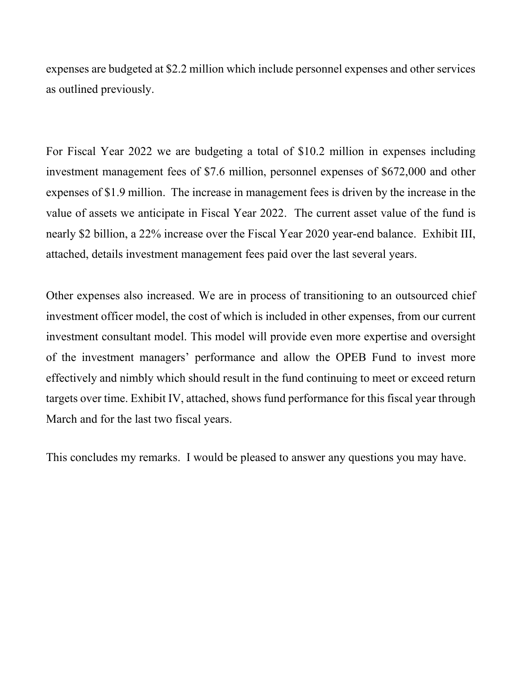expenses are budgeted at \$2.2 million which include personnel expenses and other services as outlined previously.

For Fiscal Year 2022 we are budgeting a total of \$10.2 million in expenses including investment management fees of \$7.6 million, personnel expenses of \$672,000 and other expenses of \$1.9 million. The increase in management fees is driven by the increase in the value of assets we anticipate in Fiscal Year 2022. The current asset value of the fund is nearly \$2 billion, a 22% increase over the Fiscal Year 2020 year-end balance. Exhibit III, attached, details investment management fees paid over the last several years.

Other expenses also increased. We are in process of transitioning to an outsourced chief investment officer model, the cost of which is included in other expenses, from our current investment consultant model. This model will provide even more expertise and oversight of the investment managers' performance and allow the OPEB Fund to invest more effectively and nimbly which should result in the fund continuing to meet or exceed return targets over time. Exhibit IV, attached, shows fund performance for this fiscal year through March and for the last two fiscal years.

This concludes my remarks. I would be pleased to answer any questions you may have.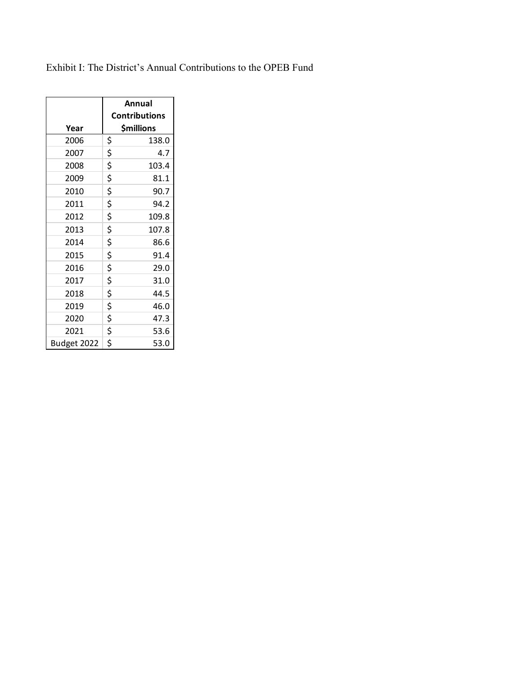Exhibit I: The District's Annual Contributions to the OPEB Fund

|             | Annual        |                      |  |  |  |
|-------------|---------------|----------------------|--|--|--|
|             |               | <b>Contributions</b> |  |  |  |
| Year        |               | <b>\$millions</b>    |  |  |  |
| 2006        | \$            | 138.0                |  |  |  |
| 2007        | \$            | 4.7                  |  |  |  |
| 2008        | \$            | 103.4                |  |  |  |
| 2009        | \$            | 81.1                 |  |  |  |
| 2010        | \$            | 90.7                 |  |  |  |
| 2011        | \$            | 94.2                 |  |  |  |
| 2012        | \$            | 109.8                |  |  |  |
| 2013        | \$            | 107.8                |  |  |  |
| 2014        | \$            | 86.6                 |  |  |  |
| 2015        | \$            | 91.4                 |  |  |  |
| 2016        | \$            | 29.0                 |  |  |  |
| 2017        | \$            | 31.0                 |  |  |  |
| 2018        |               | 44.5                 |  |  |  |
| 2019        | $\frac{5}{5}$ | 46.0                 |  |  |  |
| 2020        |               | 47.3                 |  |  |  |
| 2021        | \$<br>\$      | 53.6                 |  |  |  |
| Budget 2022 |               | 53.0                 |  |  |  |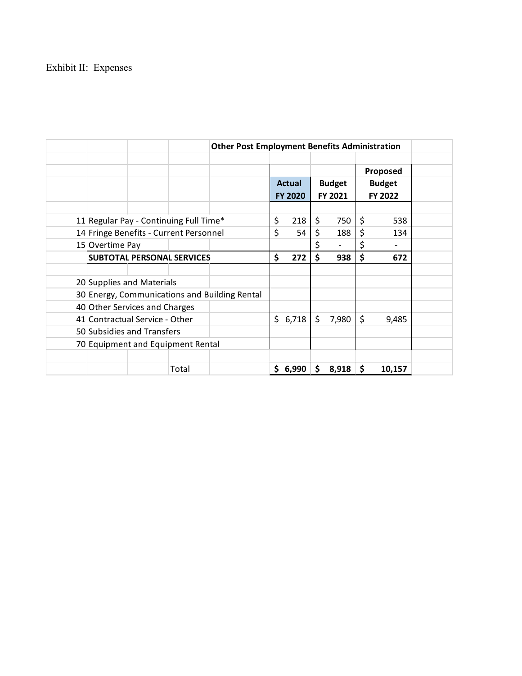## Exhibit II: Expenses

| <b>Other Post Employment Benefits Administration</b> |       |  |                                |       |               |       |         |          |  |
|------------------------------------------------------|-------|--|--------------------------------|-------|---------------|-------|---------|----------|--|
|                                                      |       |  |                                |       |               |       |         |          |  |
|                                                      |       |  |                                |       |               |       |         | Proposed |  |
|                                                      |       |  | <b>Actual</b><br><b>Budget</b> |       | <b>Budget</b> |       |         |          |  |
|                                                      |       |  | <b>FY 2020</b>                 |       | FY 2021       |       | FY 2022 |          |  |
|                                                      |       |  |                                |       |               |       |         |          |  |
| 11 Regular Pay - Continuing Full Time*               |       |  | \$                             | 218   | \$            | 750   | \$      | 538      |  |
| 14 Fringe Benefits - Current Personnel               |       |  | \$                             | 54    | \$            | 188   | \$      | 134      |  |
| 15 Overtime Pay                                      |       |  |                                |       | \$            |       | \$      |          |  |
| <b>SUBTOTAL PERSONAL SERVICES</b>                    |       |  | \$                             | 272   | \$            | 938   | \$      | 672      |  |
|                                                      |       |  |                                |       |               |       |         |          |  |
| 20 Supplies and Materials                            |       |  |                                |       |               |       |         |          |  |
| 30 Energy, Communications and Building Rental        |       |  |                                |       |               |       |         |          |  |
| 40 Other Services and Charges                        |       |  |                                |       |               |       |         |          |  |
| 41 Contractual Service - Other                       |       |  | \$                             | 6,718 | \$            | 7,980 | \$      | 9,485    |  |
| 50 Subsidies and Transfers                           |       |  |                                |       |               |       |         |          |  |
| 70 Equipment and Equipment Rental                    |       |  |                                |       |               |       |         |          |  |
|                                                      |       |  |                                |       |               |       |         |          |  |
|                                                      | Total |  | \$                             | 6,990 | \$            | 8,918 | \$      | 10,157   |  |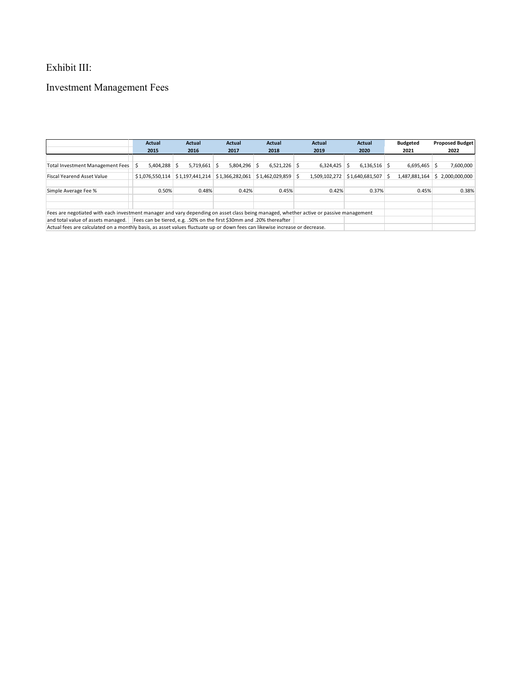#### Exhibit III:

## Investment Management Fees

|                                                                                                                                        | Actual          | Actual          | Actual          | Actual                | Actual        | Actual               | <b>Budgeted</b> | <b>Proposed Budget</b> |  |
|----------------------------------------------------------------------------------------------------------------------------------------|-----------------|-----------------|-----------------|-----------------------|---------------|----------------------|-----------------|------------------------|--|
|                                                                                                                                        | 2015            | 2016            | 2017            | 2018                  | 2019          | 2020<br>2021         |                 | 2022                   |  |
|                                                                                                                                        |                 |                 |                 |                       |               |                      |                 |                        |  |
| Total Investment Management Fees                                                                                                       | $5.404.288$ \$  | $5.719.661$ \$  | $5.804.296$ \$  | $6,521,226$ \$        | 6,324,425     | $6,136,516$ \$<br>S. | 6,695,465       | 7,600,000<br>Ŝ.        |  |
| <b>Fiscal Yearend Asset Value</b>                                                                                                      | \$1.076.550.114 | \$1,197,441,214 | \$1,366,282,061 | $$1.462.029.859$ \ \$ | 1.509.102.272 | $$1,640,681,507$ \\$ | 1,487,881,164   | \$2,000,000,000        |  |
|                                                                                                                                        |                 |                 |                 |                       |               |                      |                 |                        |  |
| Simple Average Fee %                                                                                                                   | 0.50%           | 0.48%           | 0.42%           | 0.45%                 | 0.42%         | 0.37%                | 0.45%           | 0.38%                  |  |
|                                                                                                                                        |                 |                 |                 |                       |               |                      |                 |                        |  |
|                                                                                                                                        |                 |                 |                 |                       |               |                      |                 |                        |  |
| Fees are negotiated with each investment manager and vary depending on asset class being managed, whether active or passive management |                 |                 |                 |                       |               |                      |                 |                        |  |
| and total value of assets managed.<br>Fees can be tiered, e.g. .50% on the first \$30mm and .20% thereafter                            |                 |                 |                 |                       |               |                      |                 |                        |  |
| Actual fees are calculated on a monthly basis, as asset values fluctuate up or down fees can likewise increase or decrease.            |                 |                 |                 |                       |               |                      |                 |                        |  |